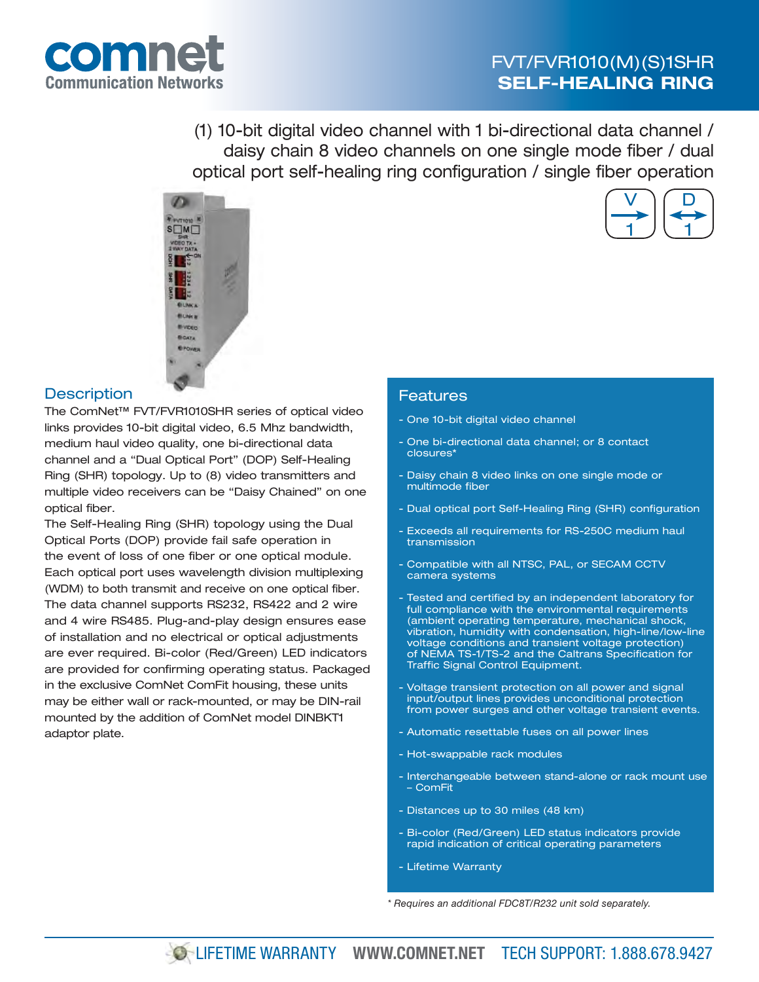# FVT/FVR1010(M)(S)1SHR **SELF-HEALING RING**

V

D

1

1



(1) 10-bit digital video channel with 1 bi-directional data channel / daisy chain 8 video channels on one single mode fiber / dual optical port self-healing ring configuration / single fiber operation



## **Description**

The ComNet™ FVT/FVR1010SHR series of optical video links provides 10-bit digital video, 6.5 Mhz bandwidth, medium haul video quality, one bi-directional data channel and a "Dual Optical Port" (DOP) Self-Healing Ring (SHR) topology. Up to (8) video transmitters and multiple video receivers can be "Daisy Chained" on one optical fiber.

The Self-Healing Ring (SHR) topology using the Dual Optical Ports (DOP) provide fail safe operation in the event of loss of one fiber or one optical module. Each optical port uses wavelength division multiplexing (WDM) to both transmit and receive on one optical fiber. The data channel supports RS232, RS422 and 2 wire and 4 wire RS485. Plug-and-play design ensures ease of installation and no electrical or optical adjustments are ever required. Bi-color (Red/Green) LED indicators are provided for confirming operating status. Packaged in the exclusive ComNet ComFit housing, these units may be either wall or rack-mounted, or may be DIN-rail mounted by the addition of ComNet model DINBKT1 adaptor plate.

## Features

- One 10-bit digital video channel
- One bi-directional data channel; or 8 contact closures\*
- Daisy chain 8 video links on one single mode or multimode fiber
- Dual optical port Self-Healing Ring (SHR) configuration
- Exceeds all requirements for RS-250C medium haul transmission
- Compatible with all NTSC, PAL, or SECAM CCTV camera systems
- Tested and certified by an independent laboratory for full compliance with the environmental requirements (ambient operating temperature, mechanical shock, vibration, humidity with condensation, high-line/low-line voltage conditions and transient voltage protection) of NEMA TS-1/TS-2 and the Caltrans Specification for Traffic Signal Control Equipment.
- Voltage transient protection on all power and signal input/output lines provides unconditional protection from power surges and other voltage transient events.
- Automatic resettable fuses on all power lines
- Hot-swappable rack modules
- Interchangeable between stand-alone or rack mount use – ComFit
- Distances up to 30 miles (48 km)
- Bi-color (Red/Green) LED status indicators provide rapid indication of critical operating parameters
- Lifetime Warranty

*\* Requires an additional FDC8T/R232 unit sold separately.*